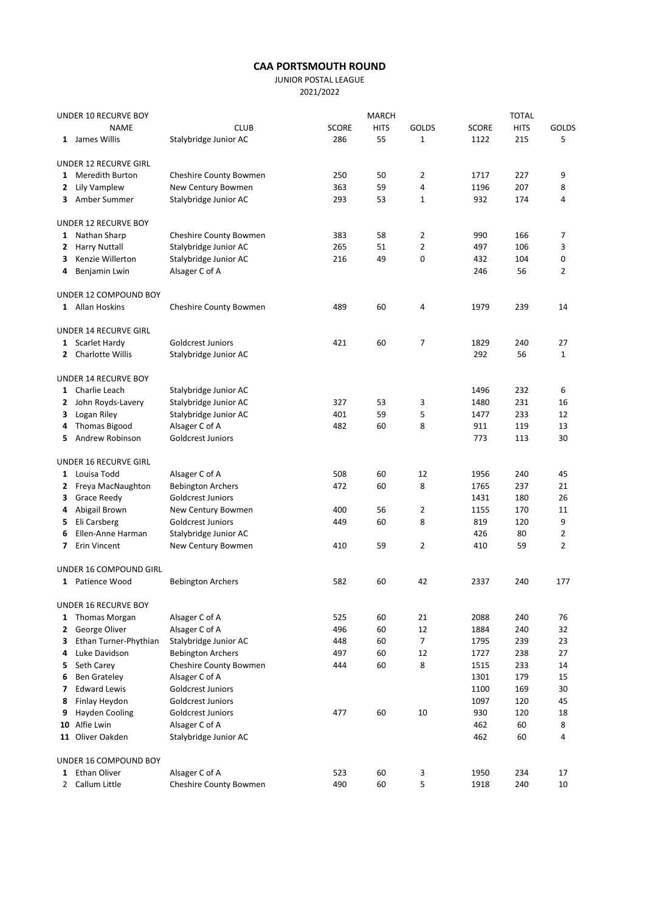## CAA PORTSMOUTH ROUND

JUNIOR POSTAL LEAGUE

2021/2022

| UNDER 10 RECURVE BOY |                             |                          | <b>TOTAL</b> |             |              |              |             |                |
|----------------------|-----------------------------|--------------------------|--------------|-------------|--------------|--------------|-------------|----------------|
|                      | <b>NAME</b>                 | <b>CLUB</b>              | <b>SCORE</b> | <b>HITS</b> | <b>GOLDS</b> | <b>SCORE</b> | <b>HITS</b> | GOLDS          |
|                      | 1 James Willis              | Stalybridge Junior AC    | 286          | 55          | $\mathbf 1$  | 1122         | 215         | 5              |
|                      | UNDER 12 RECURVE GIRL       |                          |              |             |              |              |             |                |
| 1                    | <b>Meredith Burton</b>      | Cheshire County Bowmen   | 250          | 50          | 2            | 1717         | 227         | 9              |
|                      | 2 Lily Vamplew              | New Century Bowmen       | 363          | 59          | 4            | 1196         | 207         | 8              |
|                      | 3 Amber Summer              | Stalybridge Junior AC    | 293          | 53          | 1            | 932          | 174         | 4              |
|                      | UNDER 12 RECURVE BOY        |                          |              |             |              |              |             |                |
|                      | 1 Nathan Sharp              | Cheshire County Bowmen   | 383          | 58          | 2            | 990          | 166         | 7              |
| 2                    | <b>Harry Nuttall</b>        | Stalybridge Junior AC    | 265          | 51          | 2            | 497          | 106         | 3              |
| 3                    | Kenzie Willerton            | Stalybridge Junior AC    | 216          | 49          | 0            | 432          | 104         | 0              |
| 4                    | Benjamin Lwin               | Alsager C of A           |              |             |              | 246          | 56          | $\overline{2}$ |
|                      | UNDER 12 COMPOUND BOY       |                          |              |             |              |              |             |                |
|                      | 1 Allan Hoskins             | Cheshire County Bowmen   | 489          | 60          | 4            | 1979         | 239         | 14             |
|                      | UNDER 14 RECURVE GIRL       |                          |              |             |              |              |             |                |
|                      | 1 Scarlet Hardy             | Goldcrest Juniors        | 421          | 60          | 7            | 1829         | 240         | 27             |
|                      | 2 Charlotte Willis          | Stalybridge Junior AC    |              |             |              | 292          | 56          | $\mathbf{1}$   |
|                      | UNDER 14 RECURVE BOY        |                          |              |             |              |              |             |                |
|                      | 1 Charlie Leach             | Stalybridge Junior AC    |              |             |              | 1496         | 232         | 6              |
| 2                    | John Royds-Lavery           | Stalybridge Junior AC    | 327          | 53          | 3            | 1480         | 231         | 16             |
| 3                    | Logan Riley                 | Stalybridge Junior AC    | 401          | 59          | 5            | 1477         | 233         | 12             |
| 4                    | <b>Thomas Bigood</b>        | Alsager C of A           | 482          | 60          | 8            | 911          | 119         | 13             |
| 5.                   | Andrew Robinson             | Goldcrest Juniors        |              |             |              | 773          | 113         | 30             |
|                      | UNDER 16 RECURVE GIRL       |                          |              |             |              |              |             |                |
| $\mathbf{1}$         | Louisa Todd                 | Alsager C of A           | 508          | 60          | 12           | 1956         | 240         | 45             |
|                      | 2 Freya MacNaughton         | <b>Bebington Archers</b> | 472          | 60          | 8            | 1765         | 237         | 21             |
|                      | <b>3</b> Grace Reedy        | Goldcrest Juniors        |              |             |              | 1431         | 180         | 26             |
| 4                    | Abigail Brown               | New Century Bowmen       | 400          | 56          | 2            | 1155         | 170         | 11             |
| 5.                   | Eli Carsberg                | Goldcrest Juniors        | 449          | 60          | 8            | 819          | 120         | 9              |
| 6                    | Ellen-Anne Harman           | Stalybridge Junior AC    |              |             |              | 426          | 80          | 2              |
| 7                    | Erin Vincent                | New Century Bowmen       | 410          | 59          | 2            | 410          | 59          | $\overline{2}$ |
|                      | UNDER 16 COMPOUND GIRL      |                          |              |             |              |              |             |                |
|                      | 1 Patience Wood             | <b>Bebington Archers</b> | 582          | 60          | 42           | 2337         | 240         | 177            |
|                      | <b>UNDER 16 RECURVE BOY</b> |                          |              |             |              |              |             |                |
|                      | 1 Thomas Morgan             | Alsager C of A           | 525          | 60          | 21           | 2088         | 240         | 76             |
| 2                    | George Oliver               | Alsager C of A           | 496          | 60          | 12           | 1884         | 240         | 32             |
| 3                    | Ethan Turner-Phythian       | Stalybridge Junior AC    | 448          | 60          | 7            | 1795         | 239         | 23             |
| 4                    | Luke Davidson               | <b>Bebington Archers</b> | 497          | 60          | 12           | 1727         | 238         | 27             |
| 5                    | Seth Carey                  | Cheshire County Bowmen   | 444          | 60          | 8            | 1515         | 233         | 14             |
| 6                    | <b>Ben Grateley</b>         | Alsager C of A           |              |             |              | 1301         | 179         | 15             |
| 7                    | <b>Edward Lewis</b>         | Goldcrest Juniors        |              |             |              | 1100         | 169         | 30             |
| 8                    | Finlay Heydon               | Goldcrest Juniors        |              |             |              | 1097         | 120         | 45             |
| 9                    | <b>Hayden Cooling</b>       | Goldcrest Juniors        | 477          | 60          | 10           | 930          | 120         | 18             |
| 10                   | Alfie Lwin                  | Alsager C of A           |              |             |              | 462          | 60          | 8              |
|                      | 11 Oliver Oakden            | Stalybridge Junior AC    |              |             |              | 462          | 60          | 4              |
|                      | UNDER 16 COMPOUND BOY       |                          |              |             |              |              |             |                |
| 1                    | Ethan Oliver                | Alsager C of A           | 523          | 60          | 3            | 1950         | 234         | 17             |
|                      | 2 Callum Little             | Cheshire County Bowmen   | 490          | 60          | 5            | 1918         | 240         | 10             |